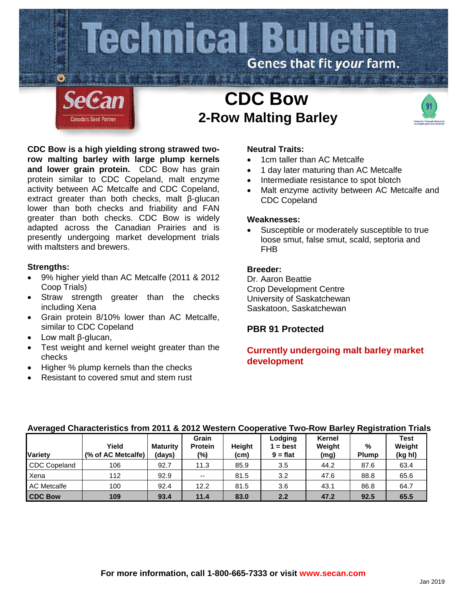

**CDC Bow is a high yielding strong strawed tworow malting barley with large plump kernels and lower grain protein.** CDC Bow has grain protein similar to CDC Copeland, malt enzyme activity between AC Metcalfe and CDC Copeland, extract greater than both checks, malt β-glucan lower than both checks and friability and FAN greater than both checks. CDC Bow is widely adapted across the Canadian Prairies and is presently undergoing market development trials with maltsters and brewers.

### **Strengths:**

- 9% higher yield than AC Metcalfe (2011 & 2012 Coop Trials)
- Straw strength greater than the checks including Xena
- Grain protein 8/10% lower than AC Metcalfe, similar to CDC Copeland
- Low malt β-glucan,
- Test weight and kernel weight greater than the checks
- Higher % plump kernels than the checks
- Resistant to covered smut and stem rust

### **Neutral Traits:**

- 1cm taller than AC Metcalfe
- 1 day later maturing than AC Metcalfe
- Intermediate resistance to spot blotch
- Malt enzyme activity between AC Metcalfe and CDC Copeland

#### **Weaknesses:**

Susceptible or moderately susceptible to true loose smut, false smut, scald, septoria and FHB

## **Breeder:**

Dr. Aaron Beattie Crop Development Centre University of Saskatchewan Saskatoon, Saskatchewan

## **PBR 91 Protected**

# **Currently undergoing malt barley market development**

### **Averaged Characteristics from 2011 & 2012 Western Cooperative Two-Row Barley Registration Trials**

| <b>Variety</b>      | Yield<br>(% of AC Metcalfe) | <b>Maturity</b><br>(days) | Grain<br><b>Protein</b><br>$(\%)$ | Height<br>(c <sub>m</sub> ) | Lodging<br>$=$ best<br>$9 = flat$ | Kernel<br>Weight<br>(mg) | %<br><b>Plump</b> | <b>Test</b><br>Weight<br>(kg hl) |
|---------------------|-----------------------------|---------------------------|-----------------------------------|-----------------------------|-----------------------------------|--------------------------|-------------------|----------------------------------|
| <b>CDC Copeland</b> | 106                         | 92.7                      | 11.3                              | 85.9                        | 3.5                               | 44.2                     | 87.6              | 63.4                             |
| Xena                | 112                         | 92.9                      | $\sim$ $\sim$                     | 81.5                        | 3.2                               | 47.6                     | 88.8              | 65.6                             |
| AC Metcalfe         | 100                         | 92.4                      | 12.2                              | 81.5                        | 3.6                               | 43.1                     | 86.8              | 64.7                             |
| <b>CDC Bow</b>      | 109                         | 93.4                      | 11.4                              | 83.0                        | 2.2                               | 47.2                     | 92.5              | 65.5                             |